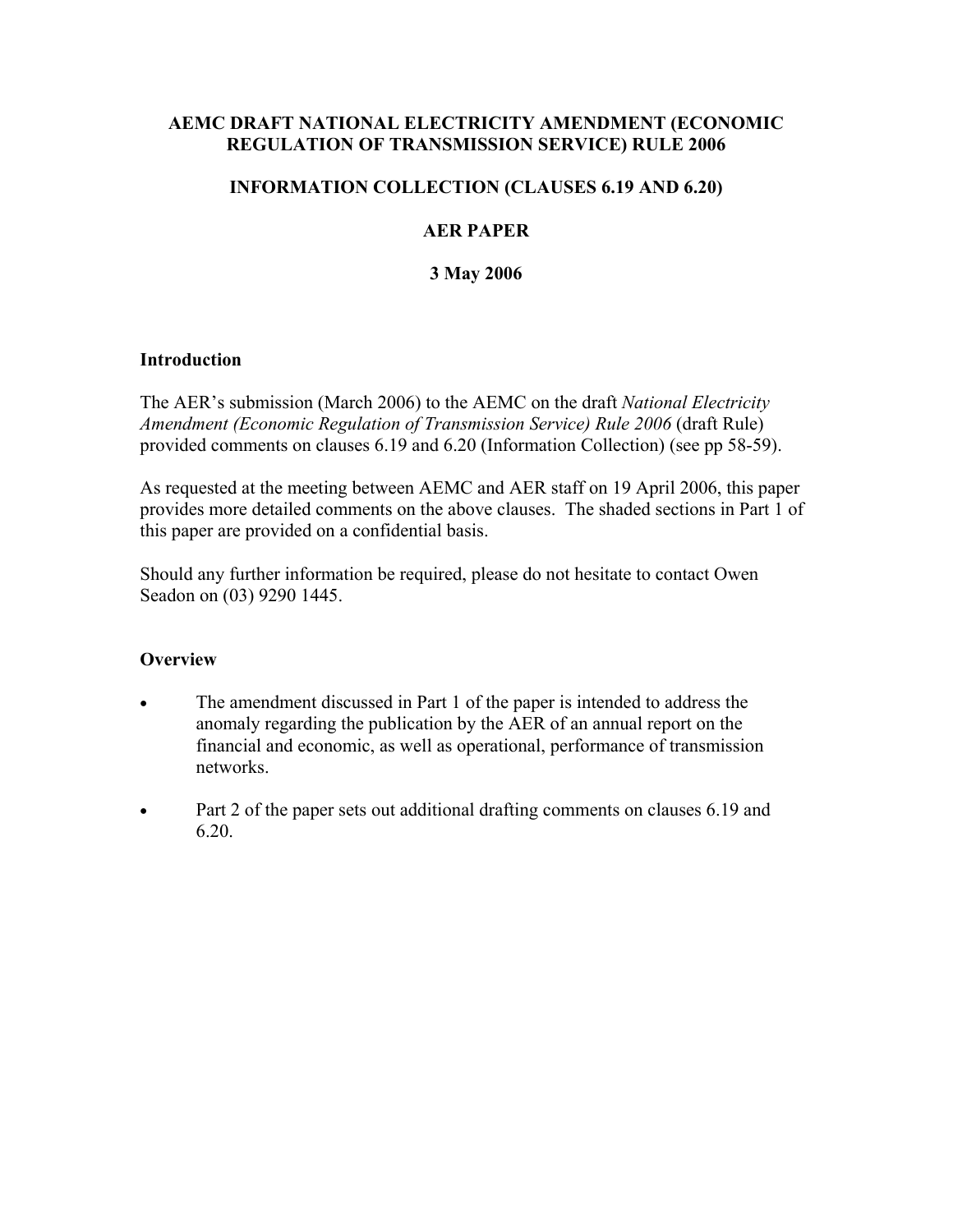### **AEMC DRAFT NATIONAL ELECTRICITY AMENDMENT (ECONOMIC REGULATION OF TRANSMISSION SERVICE) RULE 2006**

### **INFORMATION COLLECTION (CLAUSES 6.19 AND 6.20)**

## **AER PAPER**

## **3 May 2006**

#### **Introduction**

The AER's submission (March 2006) to the AEMC on the draft *National Electricity Amendment (Economic Regulation of Transmission Service) Rule 2006* (draft Rule) provided comments on clauses 6.19 and 6.20 (Information Collection) (see pp 58-59).

As requested at the meeting between AEMC and AER staff on 19 April 2006, this paper provides more detailed comments on the above clauses. The shaded sections in Part 1 of this paper are provided on a confidential basis.

Should any further information be required, please do not hesitate to contact Owen Seadon on (03) 9290 1445.

#### **Overview**

- The amendment discussed in Part 1 of the paper is intended to address the anomaly regarding the publication by the AER of an annual report on the financial and economic, as well as operational, performance of transmission networks.
- Part 2 of the paper sets out additional drafting comments on clauses 6.19 and 6.20.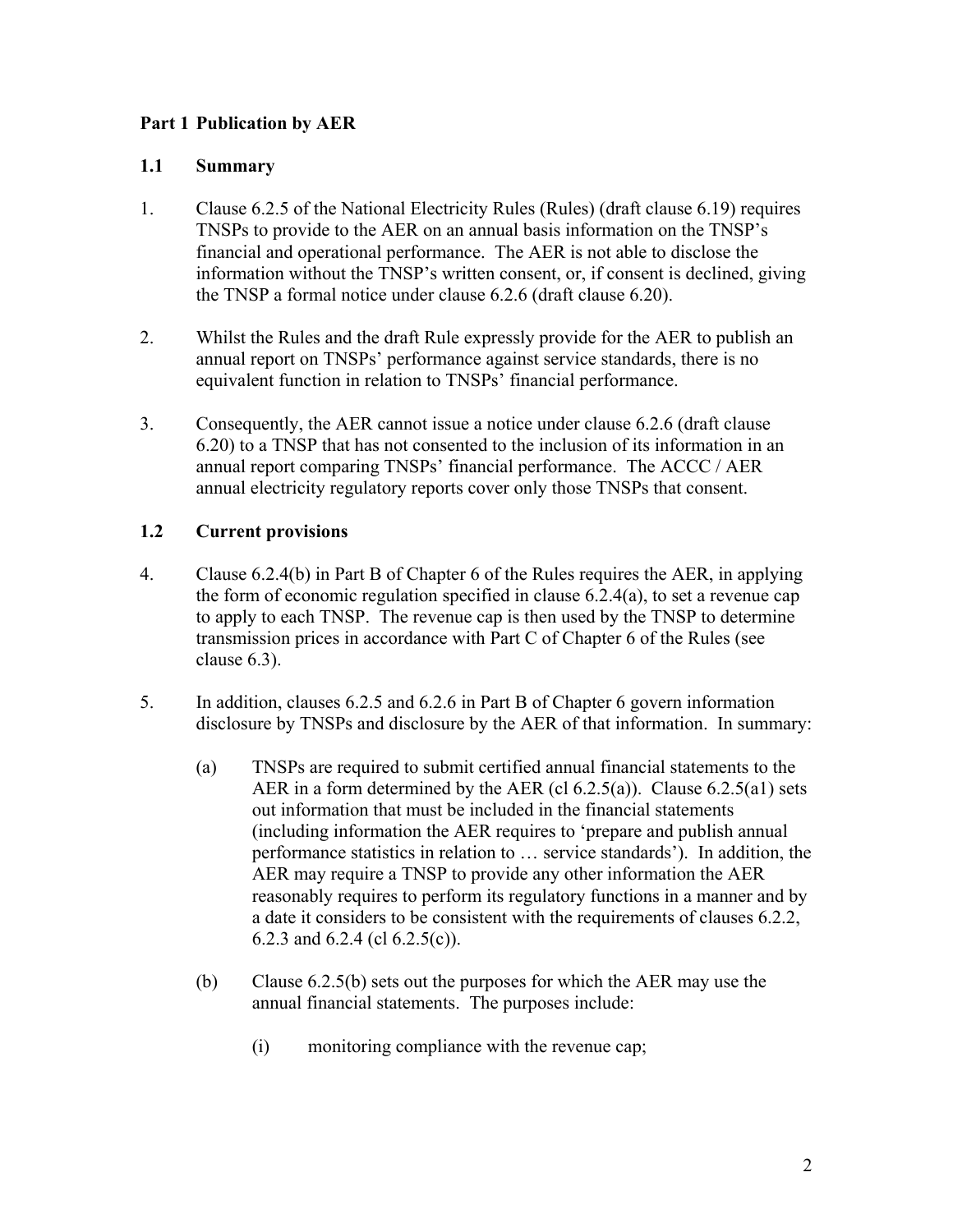# **Part 1 Publication by AER**

### **1.1 Summary**

- 1. Clause 6.2.5 of the National Electricity Rules (Rules) (draft clause 6.19) requires TNSPs to provide to the AER on an annual basis information on the TNSP's financial and operational performance. The AER is not able to disclose the information without the TNSP's written consent, or, if consent is declined, giving the TNSP a formal notice under clause 6.2.6 (draft clause 6.20).
- 2. Whilst the Rules and the draft Rule expressly provide for the AER to publish an annual report on TNSPs' performance against service standards, there is no equivalent function in relation to TNSPs' financial performance.
- 3. Consequently, the AER cannot issue a notice under clause 6.2.6 (draft clause 6.20) to a TNSP that has not consented to the inclusion of its information in an annual report comparing TNSPs' financial performance. The ACCC / AER annual electricity regulatory reports cover only those TNSPs that consent.

## **1.2 Current provisions**

- 4. Clause 6.2.4(b) in Part B of Chapter 6 of the Rules requires the AER, in applying the form of economic regulation specified in clause 6.2.4(a), to set a revenue cap to apply to each TNSP. The revenue cap is then used by the TNSP to determine transmission prices in accordance with Part C of Chapter 6 of the Rules (see clause 6.3).
- 5. In addition, clauses 6.2.5 and 6.2.6 in Part B of Chapter 6 govern information disclosure by TNSPs and disclosure by the AER of that information. In summary:
	- (a) TNSPs are required to submit certified annual financial statements to the AER in a form determined by the AER (cl  $6.2.5(a)$ ). Clause  $6.2.5(a)$ ) sets out information that must be included in the financial statements (including information the AER requires to 'prepare and publish annual performance statistics in relation to … service standards'). In addition, the AER may require a TNSP to provide any other information the AER reasonably requires to perform its regulatory functions in a manner and by a date it considers to be consistent with the requirements of clauses 6.2.2, 6.2.3 and 6.2.4 (cl 6.2.5(c)).
	- (b) Clause 6.2.5(b) sets out the purposes for which the AER may use the annual financial statements. The purposes include:
		- (i) monitoring compliance with the revenue cap;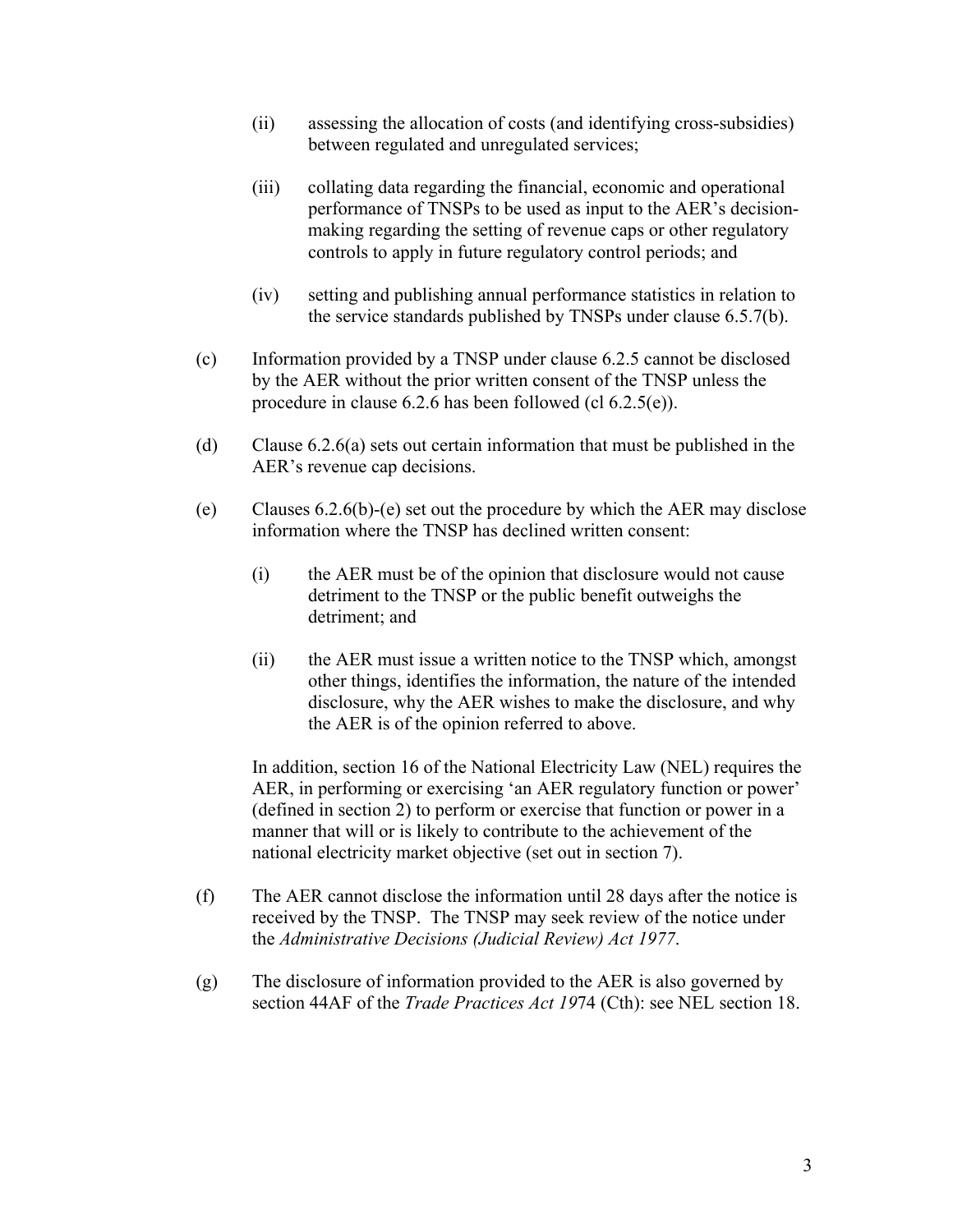- (ii) assessing the allocation of costs (and identifying cross-subsidies) between regulated and unregulated services;
- (iii) collating data regarding the financial, economic and operational performance of TNSPs to be used as input to the AER's decisionmaking regarding the setting of revenue caps or other regulatory controls to apply in future regulatory control periods; and
- (iv) setting and publishing annual performance statistics in relation to the service standards published by TNSPs under clause 6.5.7(b).
- (c) Information provided by a TNSP under clause 6.2.5 cannot be disclosed by the AER without the prior written consent of the TNSP unless the procedure in clause 6.2.6 has been followed (cl 6.2.5(e)).
- (d) Clause 6.2.6(a) sets out certain information that must be published in the AER's revenue cap decisions.
- (e) Clauses 6.2.6(b)-(e) set out the procedure by which the AER may disclose information where the TNSP has declined written consent:
	- (i) the AER must be of the opinion that disclosure would not cause detriment to the TNSP or the public benefit outweighs the detriment; and
	- (ii) the AER must issue a written notice to the TNSP which, amongst other things, identifies the information, the nature of the intended disclosure, why the AER wishes to make the disclosure, and why the AER is of the opinion referred to above.

In addition, section 16 of the National Electricity Law (NEL) requires the AER, in performing or exercising 'an AER regulatory function or power' (defined in section 2) to perform or exercise that function or power in a manner that will or is likely to contribute to the achievement of the national electricity market objective (set out in section 7).

- (f) The AER cannot disclose the information until 28 days after the notice is received by the TNSP. The TNSP may seek review of the notice under the *Administrative Decisions (Judicial Review) Act 1977*.
- (g) The disclosure of information provided to the AER is also governed by section 44AF of the *Trade Practices Act 19*74 (Cth): see NEL section 18.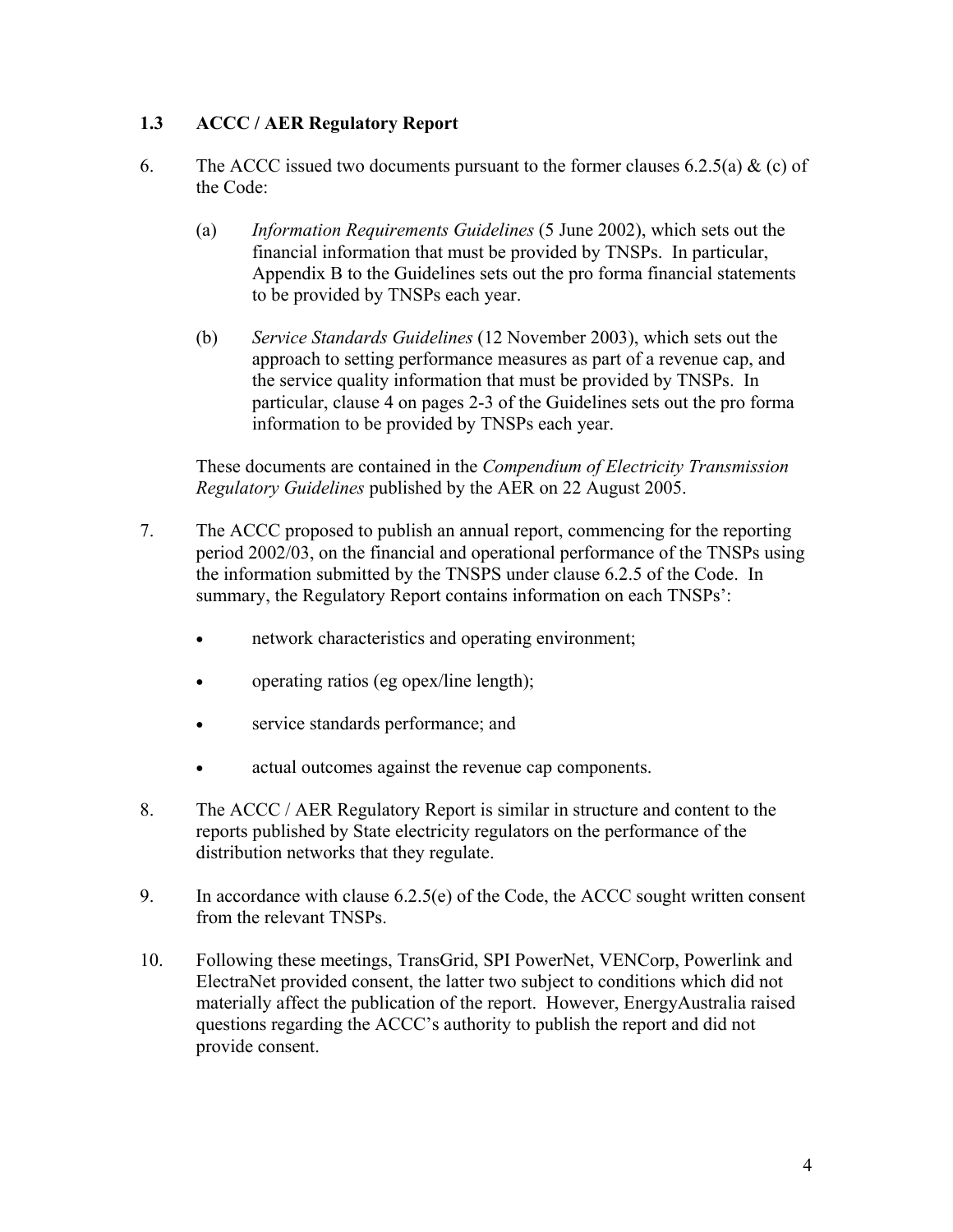# **1.3 ACCC / AER Regulatory Report**

- 6. The ACCC issued two documents pursuant to the former clauses 6.2.5(a)  $\&$  (c) of the Code:
	- (a) *Information Requirements Guidelines* (5 June 2002), which sets out the financial information that must be provided by TNSPs. In particular, Appendix B to the Guidelines sets out the pro forma financial statements to be provided by TNSPs each year.
	- (b) *Service Standards Guidelines* (12 November 2003), which sets out the approach to setting performance measures as part of a revenue cap, and the service quality information that must be provided by TNSPs. In particular, clause 4 on pages 2-3 of the Guidelines sets out the pro forma information to be provided by TNSPs each year.

These documents are contained in the *Compendium of Electricity Transmission Regulatory Guidelines* published by the AER on 22 August 2005.

- 7. The ACCC proposed to publish an annual report, commencing for the reporting period 2002/03, on the financial and operational performance of the TNSPs using the information submitted by the TNSPS under clause 6.2.5 of the Code. In summary, the Regulatory Report contains information on each TNSPs':
	- network characteristics and operating environment;
	- operating ratios (eg opex/line length);
	- service standards performance; and
	- actual outcomes against the revenue cap components.
- 8. The ACCC / AER Regulatory Report is similar in structure and content to the reports published by State electricity regulators on the performance of the distribution networks that they regulate.
- 9. In accordance with clause 6.2.5(e) of the Code, the ACCC sought written consent from the relevant TNSPs.
- 10. Following these meetings, TransGrid, SPI PowerNet, VENCorp, Powerlink and ElectraNet provided consent, the latter two subject to conditions which did not materially affect the publication of the report. However, EnergyAustralia raised questions regarding the ACCC's authority to publish the report and did not provide consent.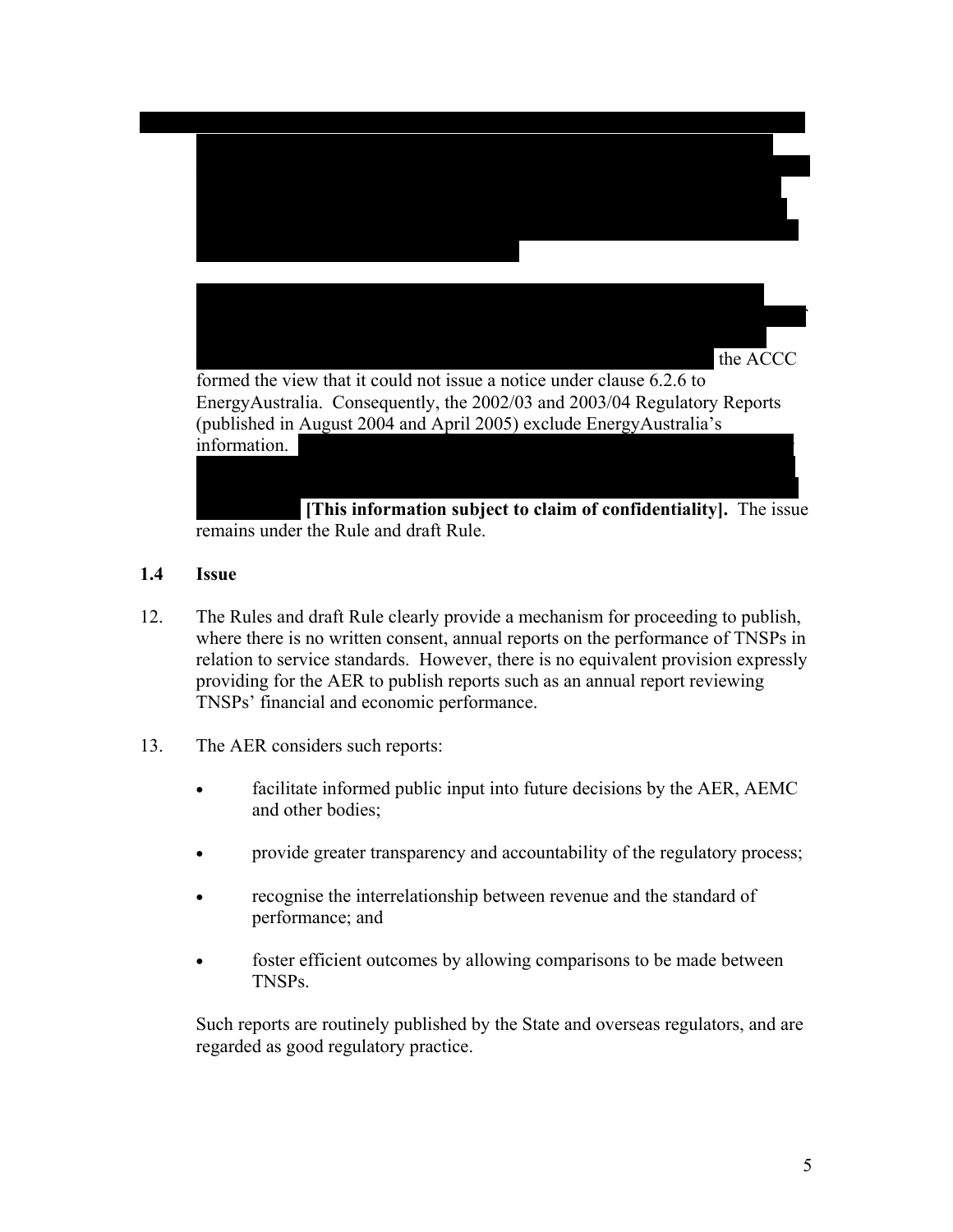

#### **1.4 Issue**

- 12. The Rules and draft Rule clearly provide a mechanism for proceeding to publish, where there is no written consent, annual reports on the performance of TNSPs in relation to service standards. However, there is no equivalent provision expressly providing for the AER to publish reports such as an annual report reviewing TNSPs' financial and economic performance.
- 13. The AER considers such reports:
	- facilitate informed public input into future decisions by the AER, AEMC and other bodies;
	- provide greater transparency and accountability of the regulatory process;
	- recognise the interrelationship between revenue and the standard of performance; and
	- foster efficient outcomes by allowing comparisons to be made between TNSPs.

Such reports are routinely published by the State and overseas regulators, and are regarded as good regulatory practice.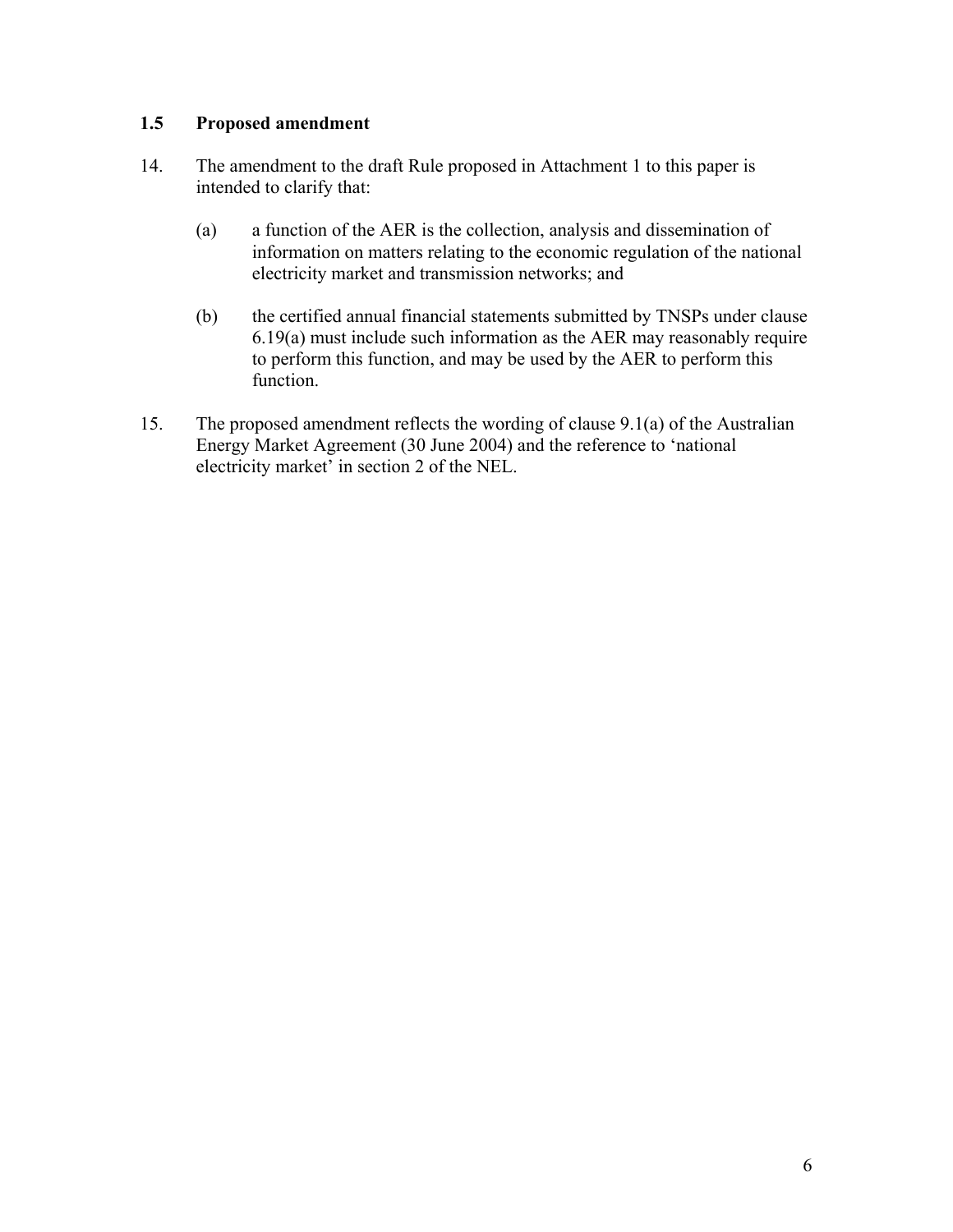## **1.5 Proposed amendment**

- 14. The amendment to the draft Rule proposed in Attachment 1 to this paper is intended to clarify that:
	- (a) a function of the AER is the collection, analysis and dissemination of information on matters relating to the economic regulation of the national electricity market and transmission networks; and
	- (b) the certified annual financial statements submitted by TNSPs under clause 6.19(a) must include such information as the AER may reasonably require to perform this function, and may be used by the AER to perform this function.
- 15. The proposed amendment reflects the wording of clause 9.1(a) of the Australian Energy Market Agreement (30 June 2004) and the reference to 'national electricity market' in section 2 of the NEL.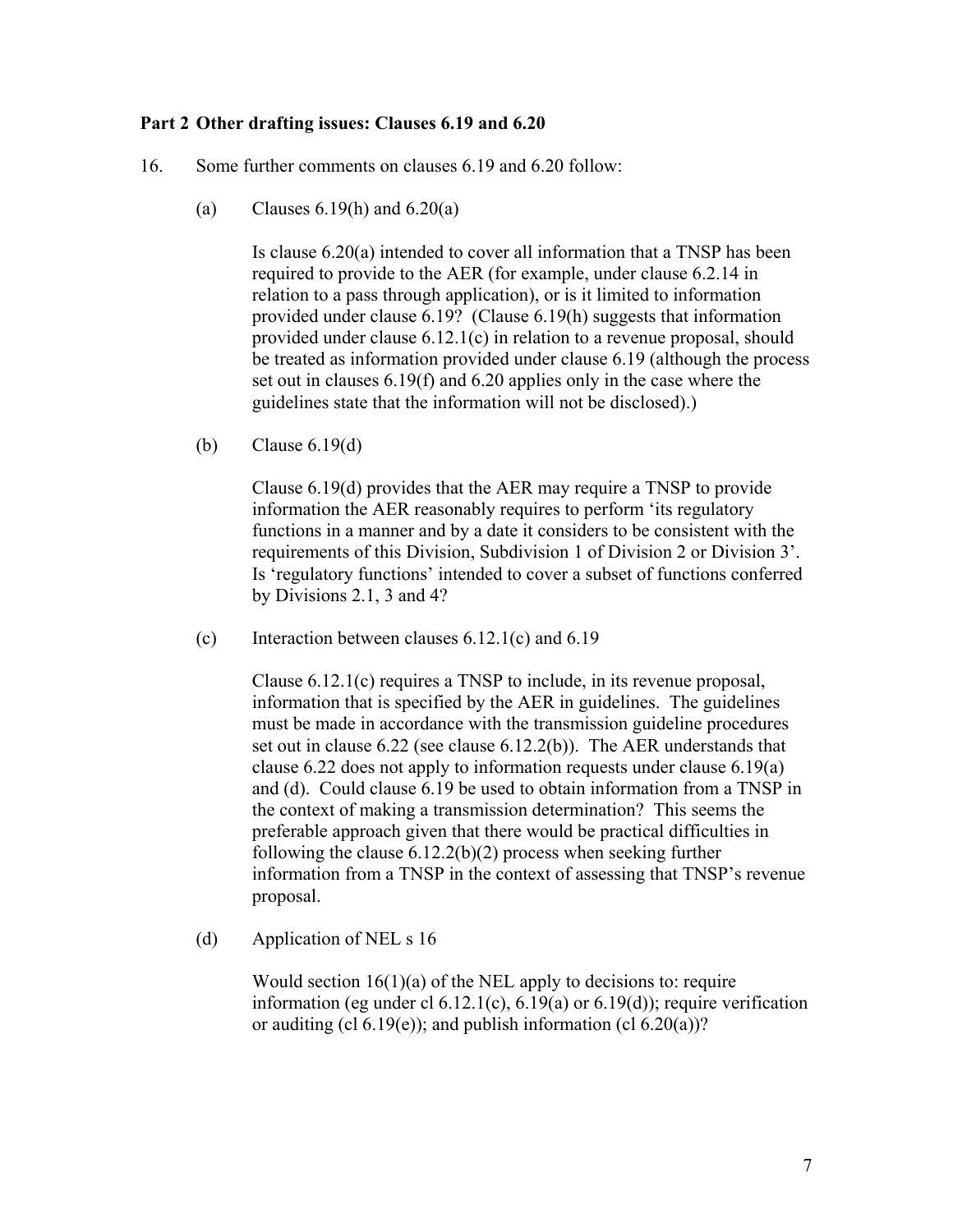#### **Part 2 Other drafting issues: Clauses 6.19 and 6.20**

- 16. Some further comments on clauses 6.19 and 6.20 follow:
	- (a) Clauses  $6.19(h)$  and  $6.20(a)$

Is clause 6.20(a) intended to cover all information that a TNSP has been required to provide to the AER (for example, under clause 6.2.14 in relation to a pass through application), or is it limited to information provided under clause 6.19? (Clause 6.19(h) suggests that information provided under clause 6.12.1(c) in relation to a revenue proposal, should be treated as information provided under clause 6.19 (although the process set out in clauses 6.19(f) and 6.20 applies only in the case where the guidelines state that the information will not be disclosed).)

(b) Clause 6.19(d)

Clause 6.19(d) provides that the AER may require a TNSP to provide information the AER reasonably requires to perform 'its regulatory functions in a manner and by a date it considers to be consistent with the requirements of this Division, Subdivision 1 of Division 2 or Division 3'. Is 'regulatory functions' intended to cover a subset of functions conferred by Divisions 2.1, 3 and 4?

(c) Interaction between clauses 6.12.1(c) and 6.19

Clause 6.12.1(c) requires a TNSP to include, in its revenue proposal, information that is specified by the AER in guidelines. The guidelines must be made in accordance with the transmission guideline procedures set out in clause 6.22 (see clause 6.12.2(b)). The AER understands that clause 6.22 does not apply to information requests under clause 6.19(a) and (d). Could clause 6.19 be used to obtain information from a TNSP in the context of making a transmission determination? This seems the preferable approach given that there would be practical difficulties in following the clause  $6.12.2(b)(2)$  process when seeking further information from a TNSP in the context of assessing that TNSP's revenue proposal.

(d) Application of NEL s 16

Would section  $16(1)(a)$  of the NEL apply to decisions to: require information (eg under cl  $6.12.1(c)$ ,  $6.19(a)$  or  $6.19(d)$ ); require verification or auditing (cl 6.19(e)); and publish information (cl 6.20(a))?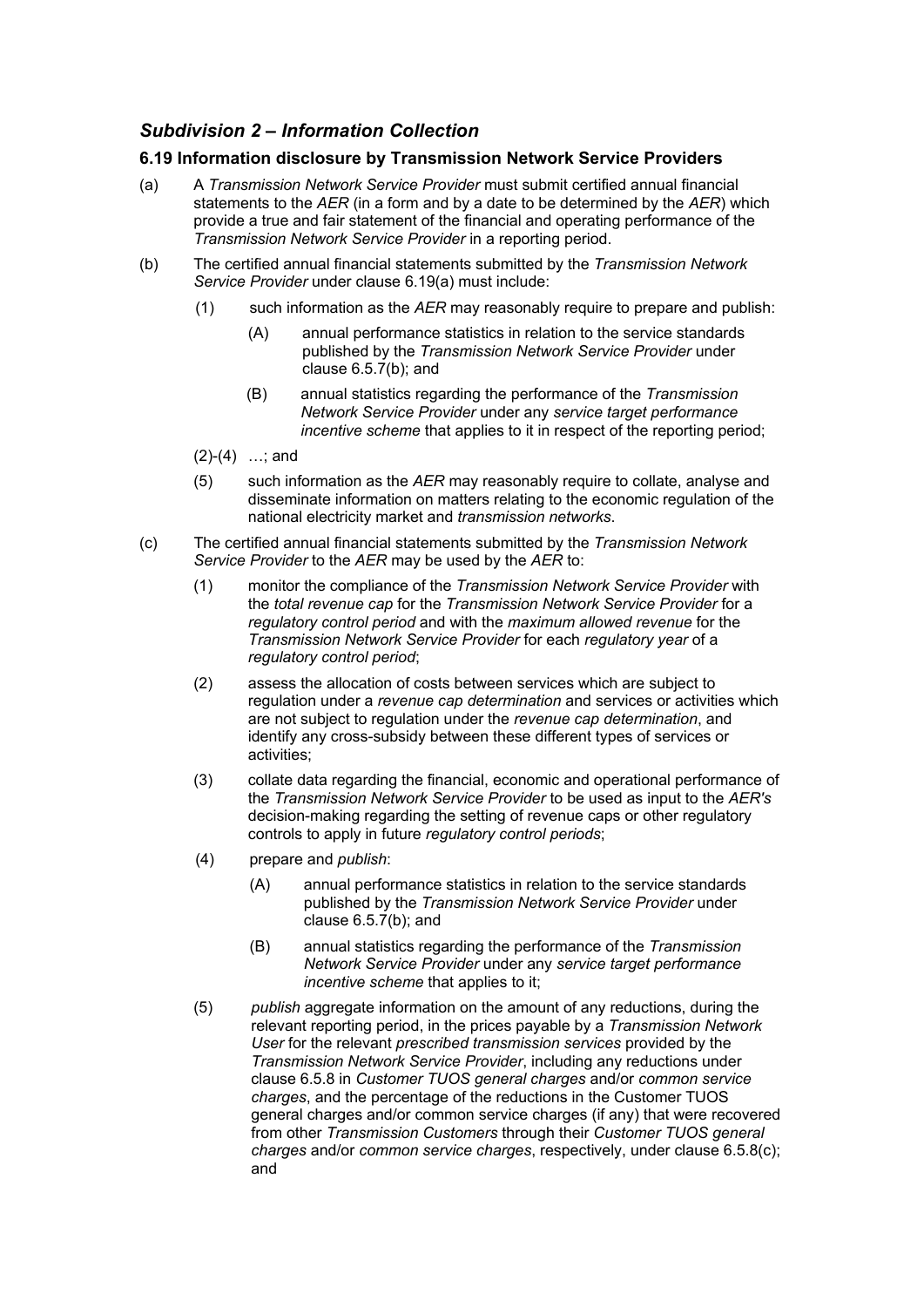# *Subdivision 2 – Information Collection*

### **6.19 Information disclosure by Transmission Network Service Providers**

- (a) A *Transmission Network Service Provider* must submit certified annual financial statements to the *AER* (in a form and by a date to be determined by the *AER*) which provide a true and fair statement of the financial and operating performance of the *Transmission Network Service Provider* in a reporting period.
- (b) The certified annual financial statements submitted by the *Transmission Network Service Provider* under clause 6.19(a) must include:
	- (1) such information as the *AER* may reasonably require to prepare and publish:
		- (A) annual performance statistics in relation to the service standards published by the *Transmission Network Service Provider* under clause  $6.5.7(b)$ ; and
		- (B) annual statistics regarding the performance of the *Transmission Network Service Provider* under any *service target performance incentive scheme* that applies to it in respect of the reporting period;
	- (2)-(4) …; and
	- (5) such information as the *AER* may reasonably require to collate, analyse and disseminate information on matters relating to the economic regulation of the national electricity market and *transmission networks*.
- (c) The certified annual financial statements submitted by the *Transmission Network Service Provider* to the *AER* may be used by the *AER* to:
	- (1) monitor the compliance of the *Transmission Network Service Provider* with the *total revenue cap* for the *Transmission Network Service Provider* for a *regulatory control period* and with the *maximum allowed revenue* for the *Transmission Network Service Provider* for each *regulatory year* of a *regulatory control period*;
	- (2) assess the allocation of costs between services which are subject to regulation under a *revenue cap determination* and services or activities which are not subject to regulation under the *revenue cap determination*, and identify any cross-subsidy between these different types of services or activities;
	- (3) collate data regarding the financial, economic and operational performance of the *Transmission Network Service Provider* to be used as input to the *AER's*  decision-making regarding the setting of revenue caps or other regulatory controls to apply in future *regulatory control periods*;
	- (4) prepare and *publish*:
		- (A) annual performance statistics in relation to the service standards published by the *Transmission Network Service Provider* under clause 6.5.7(b); and
		- (B) annual statistics regarding the performance of the *Transmission Network Service Provider* under any *service target performance incentive scheme* that applies to it:
	- (5) *publish* aggregate information on the amount of any reductions, during the relevant reporting period, in the prices payable by a *Transmission Network User* for the relevant *prescribed transmission services* provided by the *Transmission Network Service Provider*, including any reductions under clause 6.5.8 in *Customer TUOS general charges* and/or *common service charges*, and the percentage of the reductions in the Customer TUOS general charges and/or common service charges (if any) that were recovered from other *Transmission Customers* through their *Customer TUOS general charges* and/or *common service charges*, respectively, under clause 6.5.8(c); and